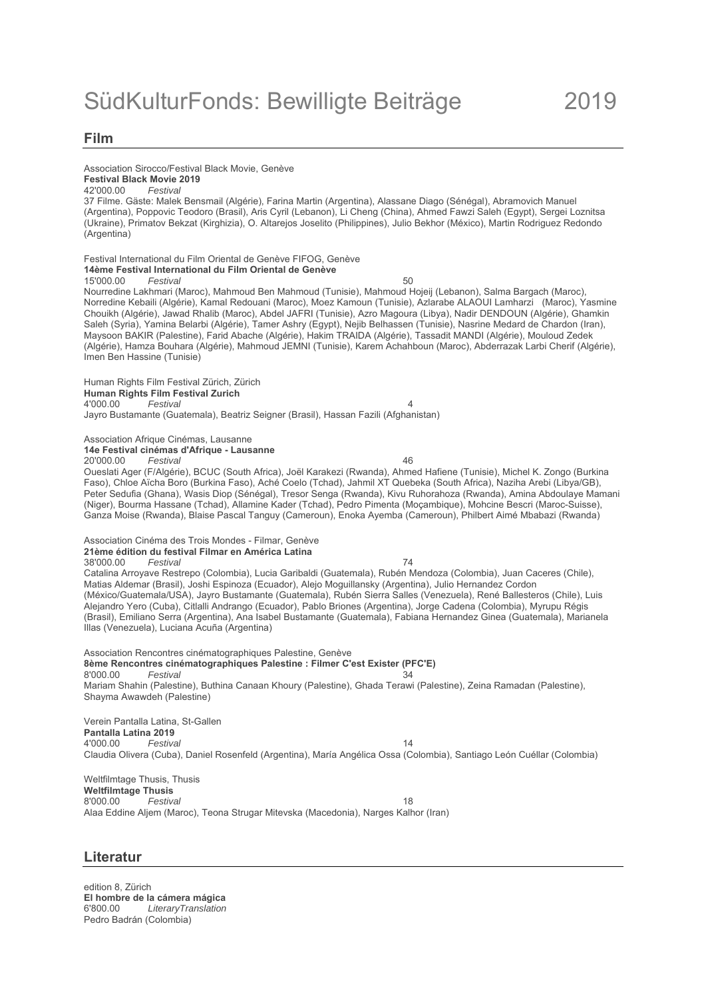### **Film**

## Association Sirocco/Festival Black Movie, Genève

# **Festival Black Movie 2019**

42'000.00 *Festival* 37 Filme. Gäste: Malek Bensmail (Algérie), Farina Martin (Argentina), Alassane Diago (Sénégal), Abramovich Manuel (Argentina), Poppovic Teodoro (Brasil), Aris Cyril (Lebanon), Li Cheng (China), Ahmed Fawzi Saleh (Egypt), Sergei Loznitsa (Ukraine), Primatov Bekzat (Kirghizia), O. Altarejos Joselito (Philippines), Julio Bekhor (México), Martin Rodriguez Redondo (Argentina)

Festival International du Film Oriental de Genève FIFOG, Genève **14ème Festival International du Film Oriental de Genève**

15'000.00 Festival 50

Nourredine Lakhmari (Maroc), Mahmoud Ben Mahmoud (Tunisie), Mahmoud Hojeij (Lebanon), Salma Bargach (Maroc), Norredine Kebaili (Algérie), Kamal Redouani (Maroc), Moez Kamoun (Tunisie), Azlarabe ALAOUI Lamharzi (Maroc), Yasmine Chouikh (Algérie), Jawad Rhalib (Maroc), Abdel JAFRI (Tunisie), Azro Magoura (Libya), Nadir DENDOUN (Algérie), Ghamkin Saleh (Syria), Yamina Belarbi (Algérie), Tamer Ashry (Egypt), Nejib Belhassen (Tunisie), Nasrine Medard de Chardon (Iran), Maysoon BAKIR (Palestine), Farid Abache (Algérie), Hakim TRAIDA (Algérie), Tassadit MANDI (Algérie), Mouloud Zedek (Algérie), Hamza Bouhara (Algérie), Mahmoud JEMNI (Tunisie), Karem Achahboun (Maroc), Abderrazak Larbi Cherif (Algérie), Imen Ben Hassine (Tunisie)

Human Rights Film Festival Zürich, Zürich **Human Rights Film Festival Zurich**<br>4'000.00 **Festival** 4'000.00 *Festival* 4 Jayro Bustamante (Guatemala), Beatriz Seigner (Brasil), Hassan Fazili (Afghanistan)

Association Afrique Cinémas, Lausanne

**14e Festival cinémas d'Afrique - Lausanne**

20'000.00 *Festival* 46

Oueslati Ager (F/Algérie), BCUC (South Africa), Joël Karakezi (Rwanda), Ahmed Hafiene (Tunisie), Michel K. Zongo (Burkina Faso), Chloe Aïcha Boro (Burkina Faso), Aché Coelo (Tchad), Jahmil XT Quebeka (South Africa), Naziha Arebi (Libya/GB), Peter Sedufia (Ghana), Wasis Diop (Sénégal), Tresor Senga (Rwanda), Kivu Ruhorahoza (Rwanda), Amina Abdoulaye Mamani (Niger), Bourma Hassane (Tchad), Allamine Kader (Tchad), Pedro Pimenta (Moçambique), Mohcine Bescri (Maroc-Suisse), Ganza Moise (Rwanda), Blaise Pascal Tanguy (Cameroun), Enoka Ayemba (Cameroun), Philbert Aimé Mbabazi (Rwanda)

Association Cinéma des Trois Mondes - Filmar, Genève

**21ème édition du festival Filmar en América Latina** 38'000.00 *Festival* 74 Catalina Arroyave Restrepo (Colombia), Lucia Garibaldi (Guatemala), Rubén Mendoza (Colombia), Juan Caceres (Chile), Matias Aldemar (Brasil), Joshi Espinoza (Ecuador), Alejo Moguillansky (Argentina), Julio Hernandez Cordon (México/Guatemala/USA), Jayro Bustamante (Guatemala), Rubén Sierra Salles (Venezuela), René Ballesteros (Chile), Luis Alejandro Yero (Cuba), Citlalli Andrango (Ecuador), Pablo Briones (Argentina), Jorge Cadena (Colombia), Myrupu Régis (Brasil), Emiliano Serra (Argentina), Ana Isabel Bustamante (Guatemala), Fabiana Hernandez Ginea (Guatemala), Marianela Illas (Venezuela), Luciana Acuña (Argentina)

Association Rencontres cinématographiques Palestine, Genève **8ème Rencontres cinématographiques Palestine : Filmer C'est Exister (PFC'E)** 8'000.00 *Festival* 34 Mariam Shahin (Palestine), Buthina Canaan Khoury (Palestine), Ghada Terawi (Palestine), Zeina Ramadan (Palestine), Shayma Awawdeh (Palestine)

Verein Pantalla Latina, St-Gallen **Pantalla Latina 2019** 4'000.00 *Festival* 14 Claudia Olivera (Cuba), Daniel Rosenfeld (Argentina), María Angélica Ossa (Colombia), Santiago León Cuéllar (Colombia)

Weltfilmtage Thusis, Thusis **Weltfilmtage Thusis** 8'000.00 *Festival* 18 Alaa Eddine Aljem (Maroc), Teona Strugar Mitevska (Macedonia), Narges Kalhor (Iran)

## **Literatur**

edition 8, Zürich **El hombre de la cámera mágica** 6'800.00 *LiteraryTranslation* Pedro Badrán (Colombia)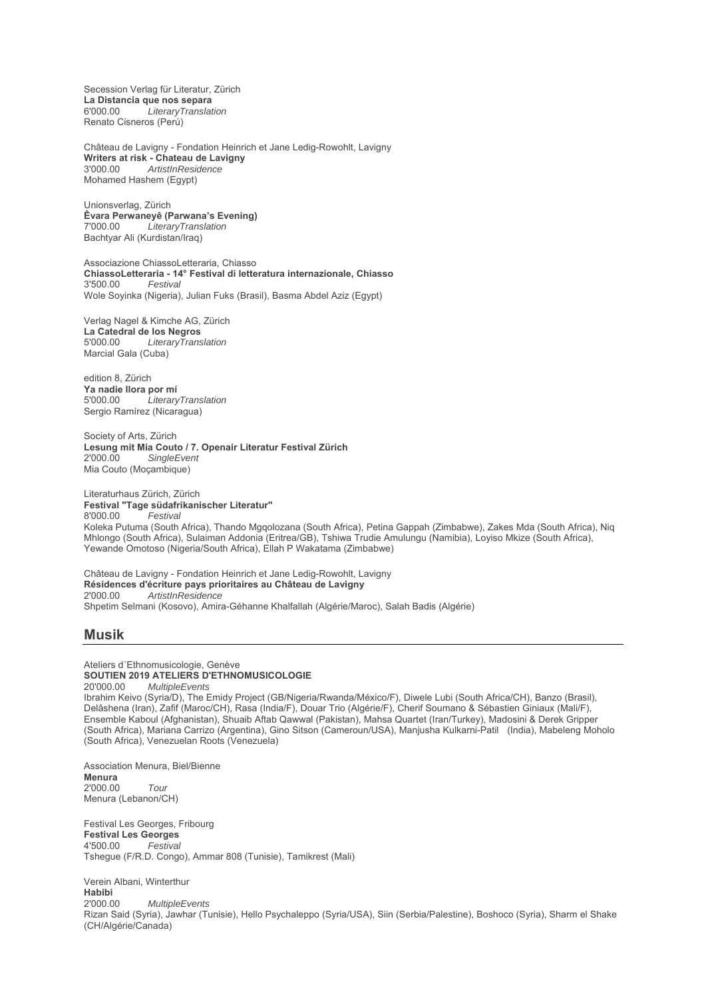Secession Verlag für Literatur, Zürich **La Distancia que nos separa** 6'000.00 *LiteraryTranslation* Renato Cisneros (Perú)

Château de Lavigny - Fondation Heinrich et Jane Ledig-Rowohlt, Lavigny **Writers at risk - Chateau de Lavigny** 3'000.00 *ArtistInResidence* Mohamed Hashem (Egypt)

Unionsverlag, Zürich **Êvara Perwaneyê (Parwana's Evening)** 7'000.00 *LiteraryTranslation* Bachtyar Ali (Kurdistan/Iraq)

Associazione ChiassoLetteraria, Chiasso **ChiassoLetteraria - 14° Festival di letteratura internazionale, Chiasso** 3'500.00 *Festival* Wole Soyinka (Nigeria), Julian Fuks (Brasil), Basma Abdel Aziz (Egypt)

Verlag Nagel & Kimche AG, Zürich **La Catedral de los Negros** 5'000.00 *LiteraryTranslation* Marcial Gala (Cuba)

edition 8, Zürich **Ya nadie llora por mí**<br>5'000.00 *literary* 5'000.00 *LiteraryTranslation* Sergio Ramírez (Nicaragua)

Society of Arts, Zürich **Lesung mit Mia Couto / 7. Openair Literatur Festival Zürich**  $SingleEvent$ Mia Couto (Moçambique)

Yewande Omotoso (Nigeria/South Africa), Ellah P Wakatama (Zimbabwe)

Literaturhaus Zürich, Zürich **Festival "Tage südafrikanischer Literatur"**  $F$ estival Koleka Putuma (South Africa), Thando Mgqolozana (South Africa), Petina Gappah (Zimbabwe), Zakes Mda (South Africa), Niq Mhlongo (South Africa), Sulaiman Addonia (Eritrea/GB), Tshiwa Trudie Amulungu (Namibia), Loyiso Mkize (South Africa),

Château de Lavigny - Fondation Heinrich et Jane Ledig-Rowohlt, Lavigny **Résidences d'écriture pays prioritaires au Château de Lavigny** 2'000.00 *ArtistInResidence* Shpetim Selmani (Kosovo), Amira-Géhanne Khalfallah (Algérie/Maroc), Salah Badis (Algérie)

#### **Musik**

Ateliers d´Ethnomusicologie, Genève **SOUTIEN 2019 ATELIERS D'ETHNOMUSICOLOGIE**<br>20'000.00 MultipleFyents 20'000.00 *MultipleEvents* Ibrahim Keivo (Syria/D), The Emidy Project (GB/Nigeria/Rwanda/México/F), Diwele Lubi (South Africa/CH), Banzo (Brasil), Delâshena (Iran), Zafif (Maroc/CH), Rasa (India/F), Douar Trio (Algérie/F), Cherif Soumano & Sébastien Giniaux (Mali/F), Ensemble Kaboul (Afghanistan), Shuaib Aftab Qawwal (Pakistan), Mahsa Quartet (Iran/Turkey), Madosini & Derek Gripper (South Africa), Mariana Carrizo (Argentina), Gino Sitson (Cameroun/USA), Manjusha Kulkarni-Patil (India), Mabeleng Moholo (South Africa), Venezuelan Roots (Venezuela)

Association Menura, Biel/Bienne **Menura** 2'000.00 *Tour* Menura (Lebanon/CH)

Festival Les Georges, Fribourg **Festival Les Georges** 4'500.00 *Festival* Tshegue (F/R.D. Congo), Ammar 808 (Tunisie), Tamikrest (Mali)

Verein Albani, Winterthur **Habibi** 2'000.00 *MultipleEvents* Rizan Said (Syria), Jawhar (Tunisie), Hello Psychaleppo (Syria/USA), Siin (Serbia/Palestine), Boshoco (Syria), Sharm el Shake (CH/Algérie/Canada)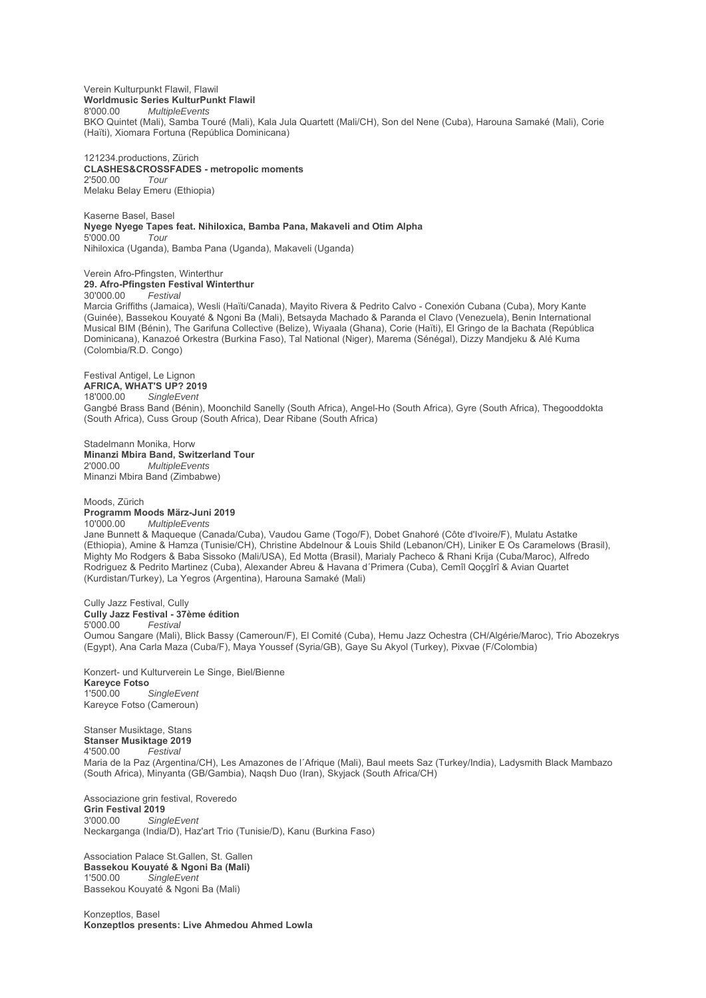Verein Kulturpunkt Flawil, Flawil **Worldmusic Series KulturPunkt Flawil** 8'000.00 *MultipleEvents* BKO Quintet (Mali), Samba Touré (Mali), Kala Jula Quartett (Mali/CH), Son del Nene (Cuba), Harouna Samaké (Mali), Corie (Haïti), Xiomara Fortuna (República Dominicana)

121234.productions, Zürich **CLASHES&CROSSFADES - metropolic moments** 2'500.00 *Tour* Melaku Belay Emeru (Ethiopia)

Kaserne Basel, Basel **Nyege Nyege Tapes feat. Nihiloxica, Bamba Pana, Makaveli and Otim Alpha**<br>5'000.00 5'000.00 *Tour* Nihiloxica (Uganda), Bamba Pana (Uganda), Makaveli (Uganda)

Verein Afro-Pfingsten, Winterthur **29. Afro-Pfingsten Festival Winterthur**<br>30'000.00 *Festival* 

 $F$ estival

Marcia Griffiths (Jamaica), Wesli (Haïti/Canada), Mayito Rivera & Pedrito Calvo - Conexión Cubana (Cuba), Mory Kante (Guinée), Bassekou Kouyaté & Ngoni Ba (Mali), Betsayda Machado & Paranda el Clavo (Venezuela), Benin International Musical BIM (Bénin), The Garifuna Collective (Belize), Wiyaala (Ghana), Corie (Haïti), El Gringo de la Bachata (República Dominicana), Kanazoé Orkestra (Burkina Faso), Tal National (Niger), Marema (Sénégal), Dizzy Mandjeku & Alé Kuma (Colombia/R.D. Congo)

Festival Antigel, Le Lignon **AFRICA, WHAT'S UP? 2019** 18'000.00 *SingleEvent* Gangbé Brass Band (Bénin), Moonchild Sanelly (South Africa), Angel-Ho (South Africa), Gyre (South Africa), Thegooddokta (South Africa), Cuss Group (South Africa), Dear Ribane (South Africa)

Stadelmann Monika, Horw **Minanzi Mbira Band, Switzerland Tour** 2'000.00 *MultipleEvents* Minanzi Mbira Band (Zimbabwe)

Moods, Zürich **Programm Moods März-Juni 2019** 10'000.00 *MultipleEvents*

Jane Bunnett & Maqueque (Canada/Cuba), Vaudou Game (Togo/F), Dobet Gnahoré (Côte d'Ivoire/F), Mulatu Astatke (Ethiopia), Amine & Hamza (Tunisie/CH), Christine Abdelnour & Louis Shild (Lebanon/CH), Liniker E Os Caramelows (Brasil), Mighty Mo Rodgers & Baba Sissoko (Mali/USA), Ed Motta (Brasil), Marialy Pacheco & Rhani Krija (Cuba/Maroc), Alfredo Rodriguez & Pedrito Martinez (Cuba), Alexander Abreu & Havana d´Primera (Cuba), Cemîl Qoçgîrî & Avian Quartet (Kurdistan/Turkey), La Yegros (Argentina), Harouna Samaké (Mali)

Cully Jazz Festival, Cully **Cully Jazz Festival - 37ème édition** 5'000.00 *Festival* Oumou Sangare (Mali), Blick Bassy (Cameroun/F), El Comité (Cuba), Hemu Jazz Ochestra (CH/Algérie/Maroc), Trio Abozekrys (Egypt), Ana Carla Maza (Cuba/F), Maya Youssef (Syria/GB), Gaye Su Akyol (Turkey), Pixvae (F/Colombia)

Konzert- und Kulturverein Le Singe, Biel/Bienne **Kareyce Fotso**  $SinaleEvent$ Kareyce Fotso (Cameroun)

Stanser Musiktage, Stans **Stanser Musiktage 2019** 4'500.00 *Festival* Maria de la Paz (Argentina/CH), Les Amazones de l´Afrique (Mali), Baul meets Saz (Turkey/India), Ladysmith Black Mambazo (South Africa), Minyanta (GB/Gambia), Naqsh Duo (Iran), Skyjack (South Africa/CH)

Associazione grin festival, Roveredo **Grin Festival 2019** 3'000.00 *SingleEvent* Neckarganga (India/D), Haz'art Trio (Tunisie/D), Kanu (Burkina Faso)

Association Palace St.Gallen, St. Gallen **Bassekou Kouyaté & Ngoni Ba (Mali)**  $S$ *ingleEvent* Bassekou Kouyaté & Ngoni Ba (Mali)

Konzeptlos, Basel **Konzeptlos presents: Live Ahmedou Ahmed Lowla**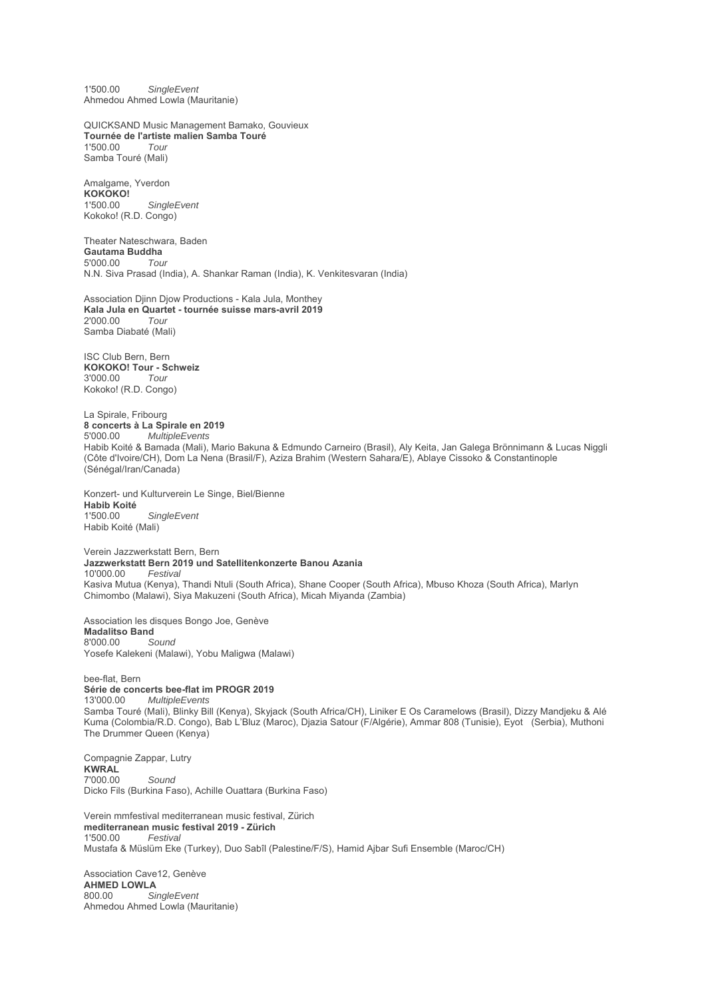1'500.00 *SingleEvent* Ahmedou Ahmed Lowla (Mauritanie)

QUICKSAND Music Management Bamako, Gouvieux **Tournée de l'artiste malien Samba Touré** 1'500.00 *Tour* Samba Touré (Mali)

Amalgame, Yverdon **KOKOKO!** 1'500.00 *SingleEvent* Kokoko! (R.D. Congo)

Theater Nateschwara, Baden **Gautama Buddha** 5'000.00 *Tour* N.N. Siva Prasad (India), A. Shankar Raman (India), K. Venkitesvaran (India)

Association Djinn Djow Productions - Kala Jula, Monthey **Kala Jula en Quartet - tournée suisse mars-avril 2019** 2'000.00 *Tour* Samba Diabaté (Mali)

ISC Club Bern, Bern **KOKOKO! Tour - Schweiz** 3'000.00 *Tour* Kokoko! (R.D. Congo)

La Spirale, Fribourg **8 concerts à La Spirale en 2019** 5'000.00 *MultipleEvents* Habib Koité & Bamada (Mali), Mario Bakuna & Edmundo Carneiro (Brasil), Aly Keita, Jan Galega Brönnimann & Lucas Niggli (Côte d'Ivoire/CH), Dom La Nena (Brasil/F), Aziza Brahim (Western Sahara/E), Ablaye Cissoko & Constantinople (Sénégal/Iran/Canada)

Konzert- und Kulturverein Le Singe, Biel/Bienne **Habib Koité**  $SinaleEvent$ Habib Koité (Mali)

Verein Jazzwerkstatt Bern, Bern **Jazzwerkstatt Bern 2019 und Satellitenkonzerte Banou Azania** 10'000.00 *Festival* Kasiva Mutua (Kenya), Thandi Ntuli (South Africa), Shane Cooper (South Africa), Mbuso Khoza (South Africa), Marlyn Chimombo (Malawi), Siya Makuzeni (South Africa), Micah Miyanda (Zambia)

Association les disques Bongo Joe, Genève **Madalitso Band**<br>8'000.00 Sound 8'000.00 *Sound* Yosefe Kalekeni (Malawi), Yobu Maligwa (Malawi)

bee-flat, Bern **Série de concerts bee-flat im PROGR 2019** 13'000.00 *MultipleEvents* Samba Touré (Mali), Blinky Bill (Kenya), Skyjack (South Africa/CH), Liniker E Os Caramelows (Brasil), Dizzy Mandjeku & Alé Kuma (Colombia/R.D. Congo), Bab L'Bluz (Maroc), Djazia Satour (F/Algérie), Ammar 808 (Tunisie), Eyot (Serbia), Muthoni The Drummer Queen (Kenya)

Compagnie Zappar, Lutry **KWRAL** 7'000.00 *Sound* Dicko Fils (Burkina Faso), Achille Ouattara (Burkina Faso)

Verein mmfestival mediterranean music festival, Zürich **mediterranean music festival 2019 - Zürich** 1'500.00 *Festival* Mustafa & Müslüm Eke (Turkey), Duo Sabîl (Palestine/F/S), Hamid Ajbar Sufi Ensemble (Maroc/CH)

Association Cave12, Genève **AHMED LOWLA** 800.00 *SingleEvent* Ahmedou Ahmed Lowla (Mauritanie)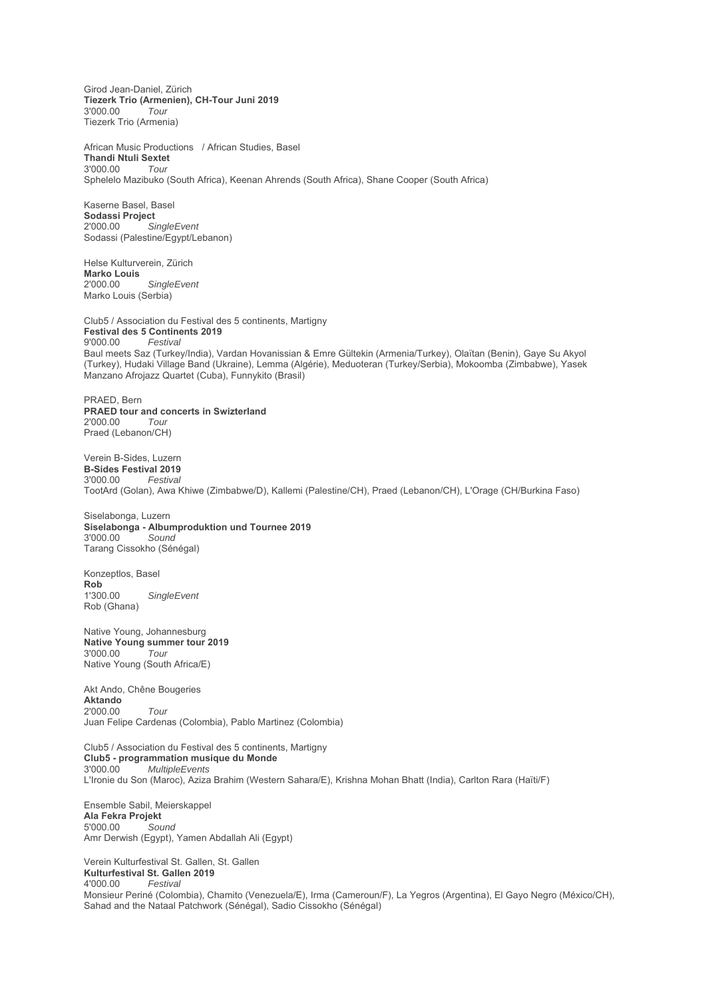Girod Jean-Daniel, Zürich **Tiezerk Trio (Armenien), CH-Tour Juni 2019** 3'000.00 *Tour* Tiezerk Trio (Armenia)

African Music Productions / African Studies, Basel **Thandi Ntuli Sextet** 3'000.00 *Tour* Sphelelo Mazibuko (South Africa), Keenan Ahrends (South Africa), Shane Cooper (South Africa)

Kaserne Basel, Basel Sodassi Project<br>2'000.00 Si 2'000.00 *SingleEvent* Sodassi (Palestine/Egypt/Lebanon)

Helse Kulturverein, Zürich **Marko Louis** 2'000.00 *SingleEvent* Marko Louis (Serbia)

Club5 / Association du Festival des 5 continents, Martigny **Festival des 5 Continents 2019**<br>9'000.00 Festival 9'000.00 *Festival* Baul meets Saz (Turkey/India), Vardan Hovanissian & Emre Gültekin (Armenia/Turkey), Olaïtan (Benin), Gaye Su Akyol (Turkey), Hudaki Village Band (Ukraine), Lemma (Algérie), Meduoteran (Turkey/Serbia), Mokoomba (Zimbabwe), Yasek Manzano Afrojazz Quartet (Cuba), Funnykito (Brasil)

PRAED, Bern **PRAED tour and concerts in Swizterland** 2'000.00 *Tour* Praed (Lebanon/CH)

Verein B-Sides, Luzern **B-Sides Festival 2019** 3'000.00 *Festival* TootArd (Golan), Awa Khiwe (Zimbabwe/D), Kallemi (Palestine/CH), Praed (Lebanon/CH), L'Orage (CH/Burkina Faso)

Siselabonga, Luzern **Siselabonga - Albumproduktion und Tournee 2019** 3'000.00 *Sound* Tarang Cissokho (Sénégal)

Konzeptlos, Basel **Rob**<br>1'300.00  $SingleEvent$ Rob (Ghana)

Native Young, Johannesburg **Native Young summer tour 2019** 3'000.00 *Tour* Native Young (South Africa/E)

Akt Ando, Chêne Bougeries **Aktando** 2'000.00 *Tour* Juan Felipe Cardenas (Colombia), Pablo Martinez (Colombia)

Club5 / Association du Festival des 5 continents, Martigny **Club5 - programmation musique du Monde** 3'000.00 *MultipleEvents* L'Ironie du Son (Maroc), Aziza Brahim (Western Sahara/E), Krishna Mohan Bhatt (India), Carlton Rara (Haïti/F)

Ensemble Sabil, Meierskappel **Ala Fekra Projekt** 5'000.00 *Sound* Amr Derwish (Egypt), Yamen Abdallah Ali (Egypt)

Verein Kulturfestival St. Gallen, St. Gallen **Kulturfestival St. Gallen 2019** 4'000.00 *Festival* Monsieur Periné (Colombia), Chamito (Venezuela/E), Irma (Cameroun/F), La Yegros (Argentina), El Gayo Negro (México/CH), Sahad and the Nataal Patchwork (Sénégal), Sadio Cissokho (Sénégal)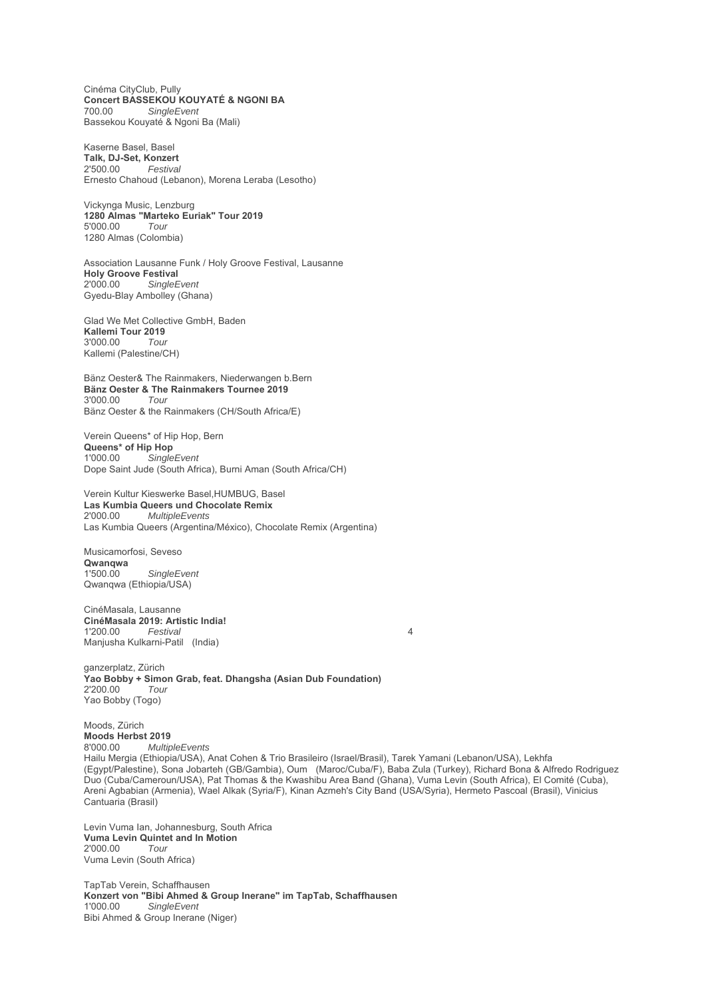Cinéma CityClub, Pully **Concert BASSEKOU KOUYATÉ & NGONI BA**<br>700.00 Single Event SingleEvent Bassekou Kouyaté & Ngoni Ba (Mali)

Kaserne Basel, Basel **Talk, DJ-Set, Konzert** 2'500.00 *Festival* Ernesto Chahoud (Lebanon), Morena Leraba (Lesotho)

Vickynga Music, Lenzburg **1280 Almas "Marteko Euriak" Tour 2019** 5'000.00 *Tour* 1280 Almas (Colombia)

Association Lausanne Funk / Holy Groove Festival, Lausanne **Holy Groove Festival** 2'000.00 *SingleEvent* Gyedu-Blay Ambolley (Ghana)

Glad We Met Collective GmbH, Baden **Kallemi Tour 2019** 3'000.00 *Tour* Kallemi (Palestine/CH)

Bänz Oester& The Rainmakers, Niederwangen b.Bern **Bänz Oester & The Rainmakers Tournee 2019** 3'000.00 *Tour* Bänz Oester & the Rainmakers (CH/South Africa/E)

Verein Queens\* of Hip Hop, Bern **Queens\* of Hip Hop**<br>1'000.00 Single  $SingleEvent$ Dope Saint Jude (South Africa), Burni Aman (South Africa/CH)

Verein Kultur Kieswerke Basel,HUMBUG, Basel **Las Kumbia Queers und Chocolate Remix**<br>2'000.00 *MultipleFvents* 2'000.00 *MultipleEvents* Las Kumbia Queers (Argentina/México), Chocolate Remix (Argentina)

Musicamorfosi, Seveso **Qwanqwa** 1'500.00 *SingleEvent* Qwanqwa (Ethiopia/USA)

CinéMasala, Lausanne **CinéMasala 2019: Artistic India!** 1'200.00 *Festival* 4 Manjusha Kulkarni-Patil (India)

ganzerplatz, Zürich **Yao Bobby + Simon Grab, feat. Dhangsha (Asian Dub Foundation)** 2'200.00 *Tour* Yao Bobby (Togo)

Moods, Zürich **Moods Herbst 2019**<br>8'000.00 *Multir* 8'000.00 *MultipleEvents* Hailu Mergia (Ethiopia/USA), Anat Cohen & Trio Brasileiro (Israel/Brasil), Tarek Yamani (Lebanon/USA), Lekhfa (Egypt/Palestine), Sona Jobarteh (GB/Gambia), Oum (Maroc/Cuba/F), Baba Zula (Turkey), Richard Bona & Alfredo Rodriguez Duo (Cuba/Cameroun/USA), Pat Thomas & the Kwashibu Area Band (Ghana), Vuma Levin (South Africa), El Comité (Cuba), Areni Agbabian (Armenia), Wael Alkak (Syria/F), Kinan Azmeh's City Band (USA/Syria), Hermeto Pascoal (Brasil), Vinicius Cantuaria (Brasil)

Levin Vuma Ian, Johannesburg, South Africa **Vuma Levin Quintet and In Motion** 2'000.00 *Tour* Vuma Levin (South Africa)

TapTab Verein, Schaffhausen **Konzert von "Bibi Ahmed & Group Inerane" im TapTab, Schaffhausen** 1'000.00 *SingleEvent* Bibi Ahmed & Group Inerane (Niger)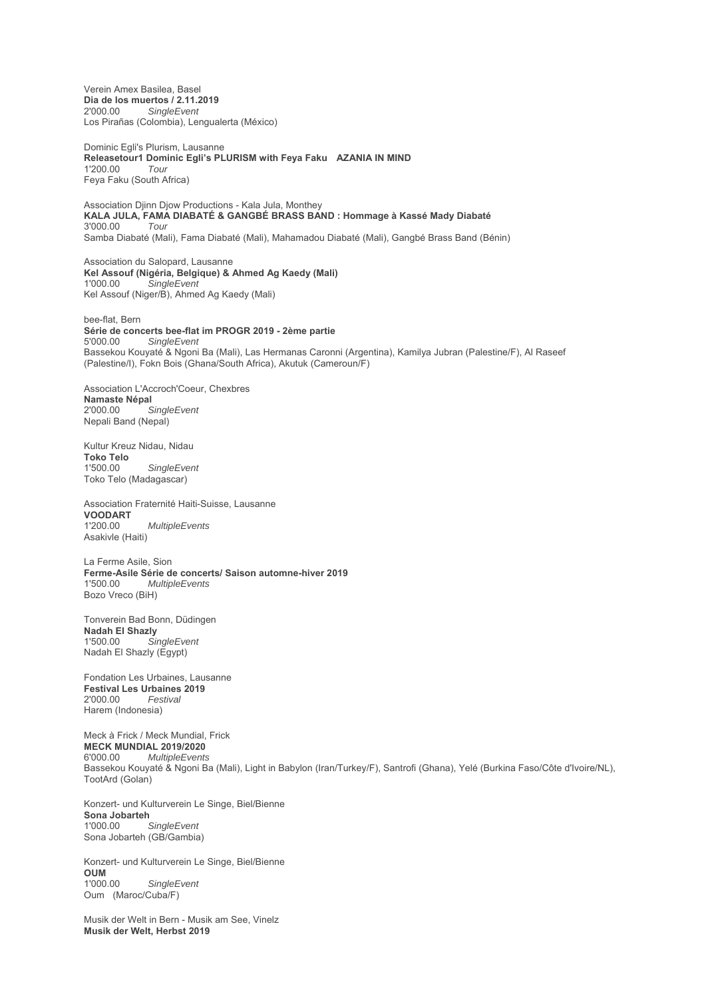Verein Amex Basilea, Basel **Dia de los muertos / 2.11.2019** 2'000.00 *SingleEvent* Los Pirañas (Colombia), Lengualerta (México)

Dominic Egli's Plurism, Lausanne **Releasetour1 Dominic Egli's PLURISM with Feya Faku AZANIA IN MIND** 1'200.00 *Tour* Feya Faku (South Africa)

Association Djinn Djow Productions - Kala Jula, Monthey **KALA JULA, FAMA DIABATÉ & GANGBÉ BRASS BAND : Hommage à Kassé Mady Diabaté** 3'000.00 *Tour* Samba Diabaté (Mali), Fama Diabaté (Mali), Mahamadou Diabaté (Mali), Gangbé Brass Band (Bénin)

Association du Salopard, Lausanne **Kel Assouf (Nigéria, Belgique) & Ahmed Ag Kaedy (Mali)**  $S$ *ingleEvent* Kel Assouf (Niger/B), Ahmed Ag Kaedy (Mali)

bee-flat, Bern **Série de concerts bee-flat im PROGR 2019 - 2ème partie** 5'000.00 *SingleEvent* Bassekou Kouyaté & Ngoni Ba (Mali), Las Hermanas Caronni (Argentina), Kamilya Jubran (Palestine/F), Al Raseef (Palestine/I), Fokn Bois (Ghana/South Africa), Akutuk (Cameroun/F)

Association L'Accroch'Coeur, Chexbres **Namaste Népal**  $SingleEvent$ Nepali Band (Nepal)

Kultur Kreuz Nidau, Nidau **Toko Telo** 1'500.00 *SingleEvent* Toko Telo (Madagascar)

Association Fraternité Haiti-Suisse, Lausanne **VOODART**  $MultipleEvents$ Asakivle (Haiti)

La Ferme Asile, Sion **Ferme-Asile Série de concerts/ Saison automne-hiver 2019** 1'500.00 *MultipleEvents* Bozo Vreco (BiH)

Tonverein Bad Bonn, Düdingen **Nadah El Shazly**  $S$ *ingleEvent* Nadah El Shazly (Egypt)

Fondation Les Urbaines, Lausanne **Festival Les Urbaines 2019**<br>2'000.00 *Festival* 2'000.00 *Festival* Harem (Indonesia)

Meck à Frick / Meck Mundial, Frick **MECK MUNDIAL 2019/2020** 6'000.00 *MultipleEvents* Bassekou Kouyaté & Ngoni Ba (Mali), Light in Babylon (Iran/Turkey/F), Santrofi (Ghana), Yelé (Burkina Faso/Côte d'Ivoire/NL), TootArd (Golan)

Konzert- und Kulturverein Le Singe, Biel/Bienne **Sona Jobarteh**<br>1'000 00 SingleFvent Sona Jobarteh (GB/Gambia)

Konzert- und Kulturverein Le Singe, Biel/Bienne **OUM**  $SingleEvent$ Oum (Maroc/Cuba/F)

Musik der Welt in Bern - Musik am See, Vinelz **Musik der Welt, Herbst 2019**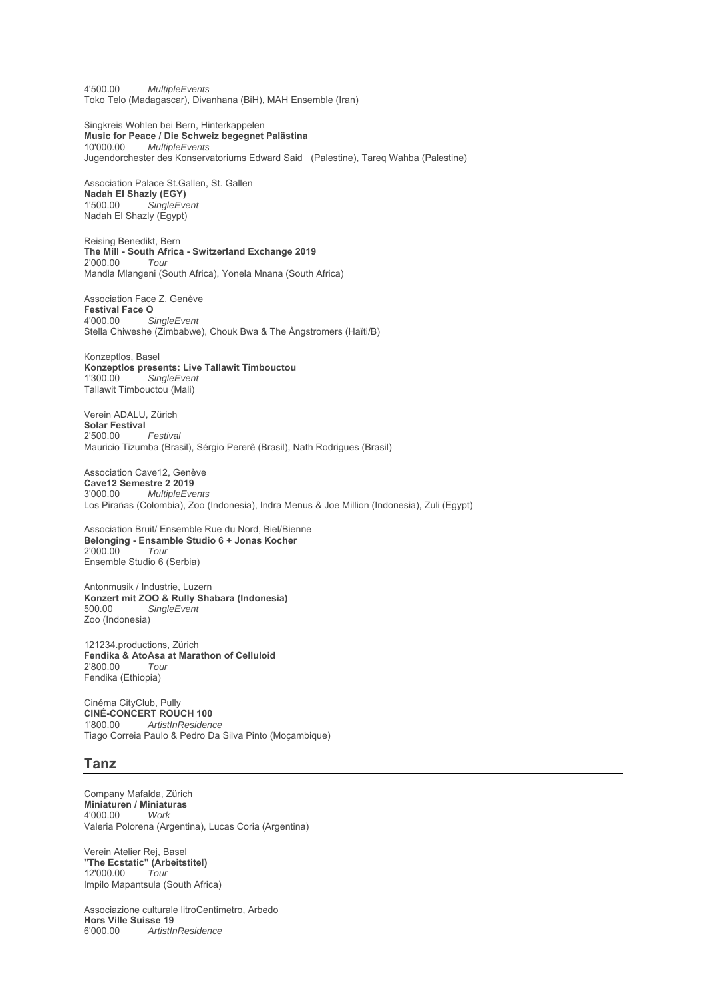4'500.00 *MultipleEvents* Toko Telo (Madagascar), Divanhana (BiH), MAH Ensemble (Iran)

Singkreis Wohlen bei Bern, Hinterkappelen **Music for Peace / Die Schweiz begegnet Palästina** 10'000.00 *MultipleEvents* Jugendorchester des Konservatoriums Edward Said (Palestine), Tareq Wahba (Palestine)

Association Palace St.Gallen, St. Gallen **Nadah El Shazly (EGY)**  $SinaleEvent$ Nadah El Shazly (Egypt)

Reising Benedikt, Bern **The Mill - South Africa - Switzerland Exchange 2019** 2'000.00 *Tour* Mandla Mlangeni (South Africa), Yonela Mnana (South Africa)

Association Face Z, Genève **Festival Face O**<br>4'000 00 S 4'000.00 *SingleEvent* Stella Chiweshe (Zimbabwe), Chouk Bwa & The Ångstromers (Haïti/B)

Konzeptlos, Basel **Konzeptlos presents: Live Tallawit Timbouctou** 1'300.00 *SingleEvent* Tallawit Timbouctou (Mali)

Verein ADALU, Zürich Solar Festival<br>2'500.00 2'500.00 *Festival* Mauricio Tizumba (Brasil), Sérgio Pererê (Brasil), Nath Rodrigues (Brasil)

Association Cave12, Genève **Cave12 Semestre 2 2019** 3'000.00 *MultipleEvents* Los Pirañas (Colombia), Zoo (Indonesia), Indra Menus & Joe Million (Indonesia), Zuli (Egypt)

Association Bruit/ Ensemble Rue du Nord, Biel/Bienne **Belonging - Ensamble Studio 6 + Jonas Kocher** 2'000.00 *Tour* Ensemble Studio 6 (Serbia)

Antonmusik / Industrie, Luzern **Konzert mit ZOO & Rully Shabara (Indonesia)** 500.00 *SingleEvent* Zoo (Indonesia)

121234.productions, Zürich **Fendika & AtoAsa at Marathon of Celluloid** 2'800.00 *Tour* Fendika (Ethiopia)

Cinéma CityClub, Pully **CINÉ-CONCERT ROUCH 100** 1'800.00 *ArtistInResidence* Tiago Correia Paulo & Pedro Da Silva Pinto (Moçambique)

## **Tanz**

Company Mafalda, Zürich **Miniaturen / Miniaturas** 4'000.00 *Work* Valeria Polorena (Argentina), Lucas Coria (Argentina)

Verein Atelier Rej, Basel **"The Ecstatic" (Arbeitstitel)** 12'000.00 *Tour* Impilo Mapantsula (South Africa)

Associazione culturale litroCentimetro, Arbedo **Hors Ville Suisse 19**<br>6'000.00 *Artistli* 6'000.00 *ArtistInResidence*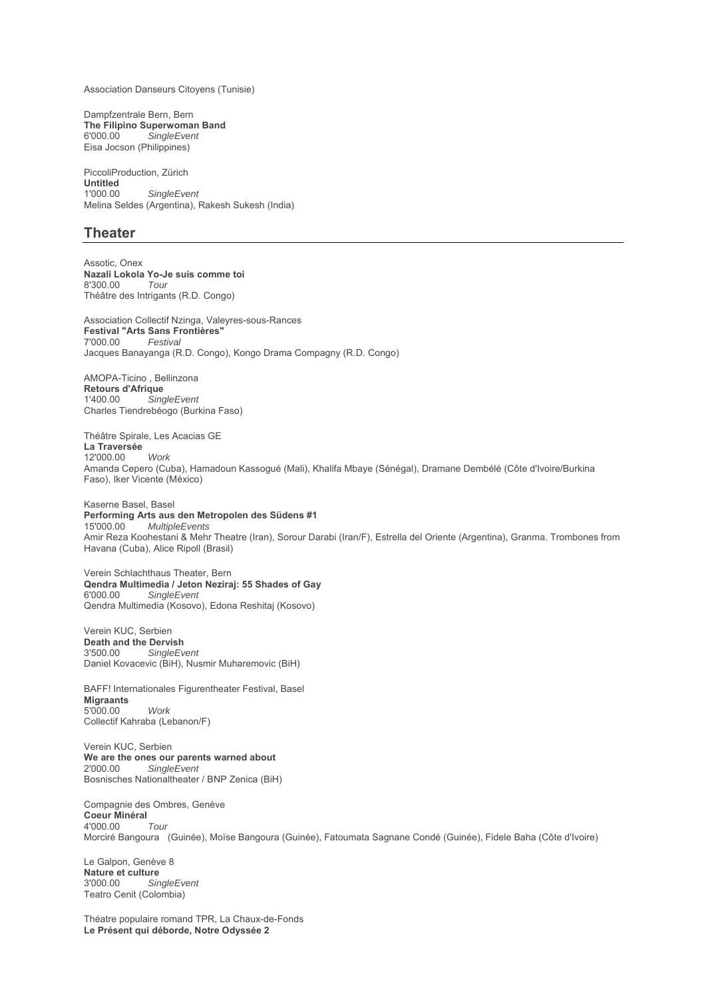Association Danseurs Citoyens (Tunisie)

Dampfzentrale Bern, Bern **The Filipino Superwoman Band**<br>6'000.00 SingleEvent  $Sing$ leEvent Eisa Jocson (Philippines)

PiccoliProduction, Zürich **Untitled**<br>1'000.00  $SingleEvent$ Melina Seldes (Argentina), Rakesh Sukesh (India)

## **Theater**

Assotic, Onex **Nazali Lokola Yo-Je suis comme toi** 8'300.00 *Tour* Théâtre des Intrigants (R.D. Congo)

Association Collectif Nzinga, Valeyres-sous-Rances **Festival "Arts Sans Frontières"**  $F$ estival Jacques Banayanga (R.D. Congo), Kongo Drama Compagny (R.D. Congo)

AMOPA-Ticino , Bellinzona **Retours d'Afrique**  $SingleEvent$ Charles Tiendrebéogo (Burkina Faso)

Théâtre Spirale, Les Acacias GE **La Traversée** 12'000.00 *Work* Amanda Cepero (Cuba), Hamadoun Kassogué (Mali), Khalifa Mbaye (Sénégal), Dramane Dembélé (Côte d'Ivoire/Burkina Faso), Iker Vicente (México)

Kaserne Basel, Basel **Performing Arts aus den Metropolen des Südens #1** 15'000.00 *MultipleEvents* Amir Reza Koohestani & Mehr Theatre (Iran), Sorour Darabi (Iran/F), Estrella del Oriente (Argentina), Granma. Trombones from Havana (Cuba), Alice Ripoll (Brasil)

Verein Schlachthaus Theater, Bern **Qendra Multimedia / Jeton Neziraj: 55 Shades of Gay** 6'000.00 *SingleEvent* Qendra Multimedia (Kosovo), Edona Reshitaj (Kosovo)

Verein KUC, Serbien **Death and the Dervish**<br>3'500.00 SingleEy 3'500.00 *SingleEvent* Daniel Kovacevic (BiH), Nusmir Muharemovic (BiH)

BAFF! Internationales Figurentheater Festival, Basel **Migraants** 5'000.00 *Work* Collectif Kahraba (Lebanon/F)

Verein KUC, Serbien **We are the ones our parents warned about** 2'000.00 *SingleEvent* Bosnisches Nationaltheater / BNP Zenica (BiH)

Compagnie des Ombres, Genève **Coeur Minéral**<br>4'000.00 *Tour* 4'000.00 *Tour* Morciré Bangoura (Guinée), Moïse Bangoura (Guinée), Fatoumata Sagnane Condé (Guinée), Fidele Baha (Côte d'Ivoire)

Le Galpon, Genève 8 **Nature et culture** 3'000.00 *SingleEvent* Teatro Cenit (Colombia)

Théatre populaire romand TPR, La Chaux-de-Fonds **Le Présent qui déborde, Notre Odyssée 2**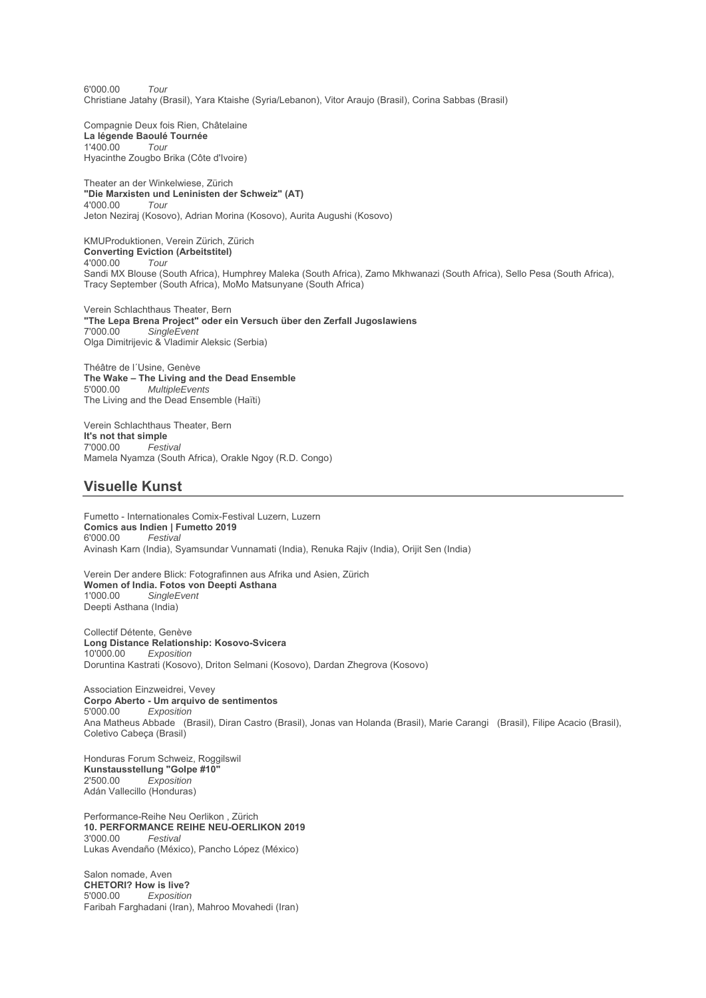6'000.00 *Tour* Christiane Jatahy (Brasil), Yara Ktaishe (Syria/Lebanon), Vitor Araujo (Brasil), Corina Sabbas (Brasil)

Compagnie Deux fois Rien, Châtelaine **La légende Baoulé Tournée** 1'400.00 *Tour* Hyacinthe Zougbo Brika (Côte d'Ivoire)

Theater an der Winkelwiese, Zürich **"Die Marxisten und Leninisten der Schweiz" (AT)** 4'000.00 *Tour* Jeton Neziraj (Kosovo), Adrian Morina (Kosovo), Aurita Augushi (Kosovo)

KMUProduktionen, Verein Zürich, Zürich **Converting Eviction (Arbeitstitel)** 4'000.00 *Tour* Sandi MX Blouse (South Africa), Humphrey Maleka (South Africa), Zamo Mkhwanazi (South Africa), Sello Pesa (South Africa), Tracy September (South Africa), MoMo Matsunyane (South Africa)

Verein Schlachthaus Theater, Bern **"The Lepa Brena Project" oder ein Versuch über den Zerfall Jugoslawiens** 7'000.00 *SingleEvent* Olga Dimitrijevic & Vladimir Aleksic (Serbia)

Théâtre de l´Usine, Genève **The Wake – The Living and the Dead Ensemble** 5'000.00 *MultipleEvents* The Living and the Dead Ensemble (Haïti)

Verein Schlachthaus Theater, Bern **It's not that simple** 7'000.00 *Festival* Mamela Nyamza (South Africa), Orakle Ngoy (R.D. Congo)

## **Visuelle Kunst**

Fumetto - Internationales Comix-Festival Luzern, Luzern **Comics aus Indien | Fumetto 2019**<br>6'000.00 *Festival*  $F$ estival Avinash Karn (India), Syamsundar Vunnamati (India), Renuka Rajiv (India), Orijit Sen (India)

Verein Der andere Blick: Fotografinnen aus Afrika und Asien, Zürich **Women of India. Fotos von Deepti Asthana**<br>1'000.00 SingleEvent  $S$ *ingleEvent* Deepti Asthana (India)

Collectif Détente, Genève **Long Distance Relationship: Kosovo-Svicera** 10'000.00 *Exposition* Doruntina Kastrati (Kosovo), Driton Selmani (Kosovo), Dardan Zhegrova (Kosovo)

Association Einzweidrei, Vevey **Corpo Aberto - Um arquivo de sentimentos**  $Exposition$ Ana Matheus Abbade (Brasil), Diran Castro (Brasil), Jonas van Holanda (Brasil), Marie Carangi (Brasil), Filipe Acacio (Brasil), Coletivo Cabeça (Brasil)

Honduras Forum Schweiz, Roggilswil **Kunstausstellung "Golpe #10"** 2'500.00 *Exposition* Adán Vallecillo (Honduras)

Performance-Reihe Neu Oerlikon , Zürich **10. PERFORMANCE REIHE NEU-OERLIKON 2019** 3'000.00 *Festival* Lukas Avendaño (México), Pancho López (México)

Salon nomade, Aven **CHETORI? How is live?** 5'000.00 *Exposition* Faribah Farghadani (Iran), Mahroo Movahedi (Iran)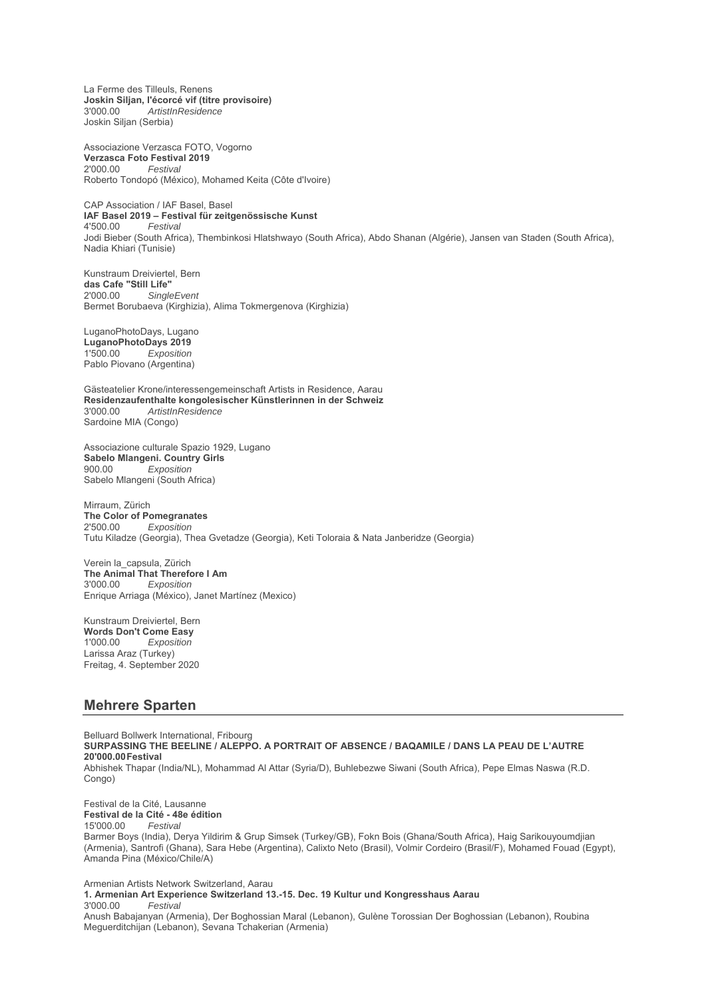La Ferme des Tilleuls, Renens **Joskin Siljan, l'écorcé vif (titre provisoire)** 3'000.00 *ArtistInResidence* Joskin Siljan (Serbia)

Associazione Verzasca FOTO, Vogorno **Verzasca Foto Festival 2019** 2'000.00 *Festival* Roberto Tondopó (México), Mohamed Keita (Côte d'Ivoire)

CAP Association / IAF Basel, Basel **IAF Basel 2019 – Festival für zeitgenössische Kunst** 4'500.00 *Festival* Jodi Bieber (South Africa), Thembinkosi Hlatshwayo (South Africa), Abdo Shanan (Algérie), Jansen van Staden (South Africa), Nadia Khiari (Tunisie)

Kunstraum Dreiviertel, Bern **das Cafe "Still Life"**  $SingleEvent$ Bermet Borubaeva (Kirghizia), Alima Tokmergenova (Kirghizia)

LuganoPhotoDays, Lugano **LuganoPhotoDays 2019**  $Exposition$ Pablo Piovano (Argentina)

Gästeatelier Krone/interessengemeinschaft Artists in Residence, Aarau **Residenzaufenthalte kongolesischer Künstlerinnen in der Schweiz** 3'000.00 *ArtistInResidence* Sardoine MIA (Congo)

Associazione culturale Spazio 1929, Lugano **Sabelo Mlangeni. Country Girls** 900.00 *Exposition* Sabelo Mlangeni (South Africa)

Mirraum, Zürich **The Color of Pomegranates**<br>  $2'50000$  *Exposition*  $Exposition$ Tutu Kiladze (Georgia), Thea Gvetadze (Georgia), Keti Toloraia & Nata Janberidze (Georgia)

Verein la\_capsula, Zürich **The Animal That Therefore I Am** 3'000.00 *Exposition* Enrique Arriaga (México), Janet Martínez (Mexico)

Kunstraum Dreiviertel, Bern **Words Don't Come Easy**<br>1'000.00 *Exposition*  $Exposition$ Larissa Araz (Turkey) Freitag, 4. September 2020

## **Mehrere Sparten**

Belluard Bollwerk International, Fribourg **SURPASSING THE BEELINE / ALEPPO. A PORTRAIT OF ABSENCE / BAQAMILE / DANS LA PEAU DE L'AUTRE 20'000.00 Festival** 

Abhishek Thapar (India/NL), Mohammad Al Attar (Syria/D), Buhlebezwe Siwani (South Africa), Pepe Elmas Naswa (R.D. Congo)

Festival de la Cité, Lausanne **Festival de la Cité - 48e édition** 15'000.00 *Festival*

Barmer Boys (India), Derya Yildirim & Grup Simsek (Turkey/GB), Fokn Bois (Ghana/South Africa), Haig Sarikouyoumdjian (Armenia), Santrofi (Ghana), Sara Hebe (Argentina), Calixto Neto (Brasil), Volmir Cordeiro (Brasil/F), Mohamed Fouad (Egypt), Amanda Pina (México/Chile/A)

Armenian Artists Network Switzerland, Aarau **1. Armenian Art Experience Switzerland 13.-15. Dec. 19 Kultur und Kongresshaus Aarau** 3'000.00 *Festival* Anush Babajanyan (Armenia), Der Boghossian Maral (Lebanon), Gulène Torossian Der Boghossian (Lebanon), Roubina Meguerditchijan (Lebanon), Sevana Tchakerian (Armenia)